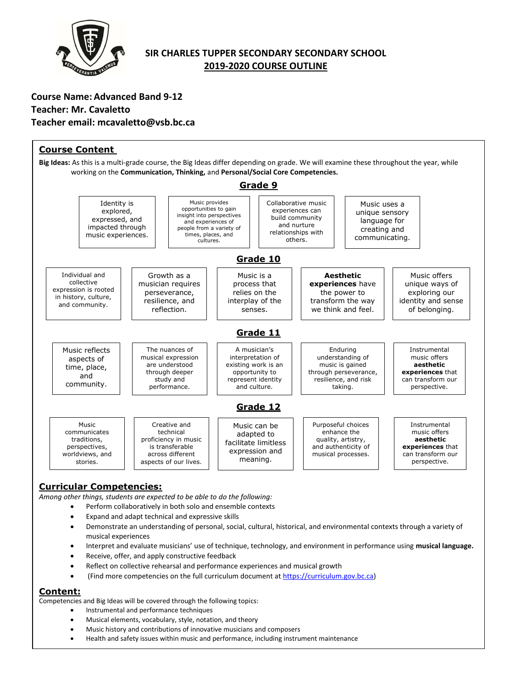

# **SIR CHARLES TUPPER SECONDARY SECONDARY SCHOOL 2019-2020 COURSE OUTLINE**

# **Course Name: Advanced Band 9-12 Teacher: Mr. Cavaletto Teacher email: mcavaletto@vsb.bc.ca**



# **Curricular Competencies:**

*Among other things, students are expected to be able to do the following:*

- Perform collaboratively in both solo and ensemble contexts
	- Expand and adapt technical and expressive skills
	- Demonstrate an understanding of personal, social, cultural, historical, and environmental contexts through a variety of musical experiences
	- Interpret and evaluate musicians' use of technique, technology, and environment in performance using **musical language.**
	- Receive, offer, and apply constructive feedback
	- Reflect on collective rehearsal and performance experiences and musical growth
- (Find more competencies on the full curriculum document at [https://curriculum.gov.bc.ca\)](https://curriculum.gov.bc.ca/)

#### **Content:**

Competencies and Big Ideas will be covered through the following topics:

- Instrumental and performance techniques
- Musical elements, vocabulary, style, notation, and theory
- Music history and contributions of innovative musicians and composers
- Health and safety issues within music and performance, including instrument maintenance